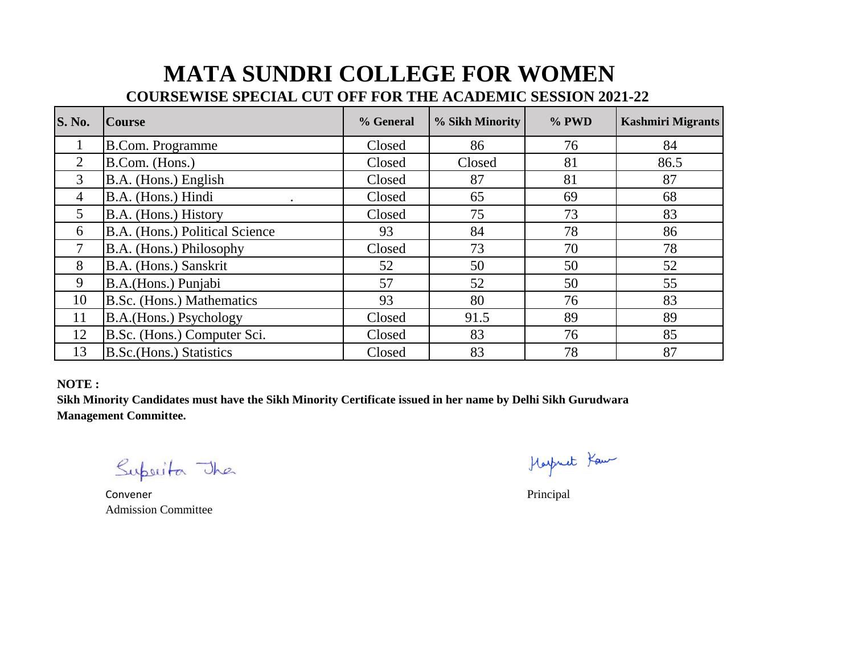## **MATA SUNDRI COLLEGE FOR WOMEN**

## **COURSEWISE SPECIAL CUT OFF FOR THE ACADEMIC SESSION 2021-22**

| <b>S. No.</b>   | <b>Course</b>                   | % General | % Sikh Minority | % PWD | <b>Kashmiri Migrants</b> |
|-----------------|---------------------------------|-----------|-----------------|-------|--------------------------|
|                 | <b>B.Com. Programme</b>         | Closed    | 86              | 76    | 84                       |
| $\overline{2}$  | B.Com. (Hons.)                  | Closed    | Closed          | 81    | 86.5                     |
| 3               | B.A. (Hons.) English            | Closed    | 87              | 81    | 87                       |
| $\overline{4}$  | B.A. (Hons.) Hindi<br>$\bullet$ | Closed    | 65              | 69    | 68                       |
| $5\overline{)}$ | B.A. (Hons.) History            | Closed    | 75              | 73    | 83                       |
| 6               | B.A. (Hons.) Political Science  | 93        | 84              | 78    | 86                       |
|                 | B.A. (Hons.) Philosophy         | Closed    | 73              | 70    | 78                       |
| 8               | B.A. (Hons.) Sanskrit           | 52        | 50              | 50    | 52                       |
| 9               | B.A.(Hons.) Punjabi             | 57        | 52              | 50    | 55                       |
| 10              | B.Sc. (Hons.) Mathematics       | 93        | 80              | 76    | 83                       |
| 11              | B.A.(Hons.) Psychology          | Closed    | 91.5            | 89    | 89                       |
| 12              | B.Sc. (Hons.) Computer Sci.     | Closed    | 83              | 76    | 85                       |
| 13              | B.Sc. (Hons.) Statistics        | Closed    | 83              | 78    | 87                       |

## **NOTE :**

**Sikh Minority Candidates must have the Sikh Minority Certificate issued in her name by Delhi Sikh Gurudwara Management Committee.**

Superita The

Convener Principal Admission Committee

Harpmet Kau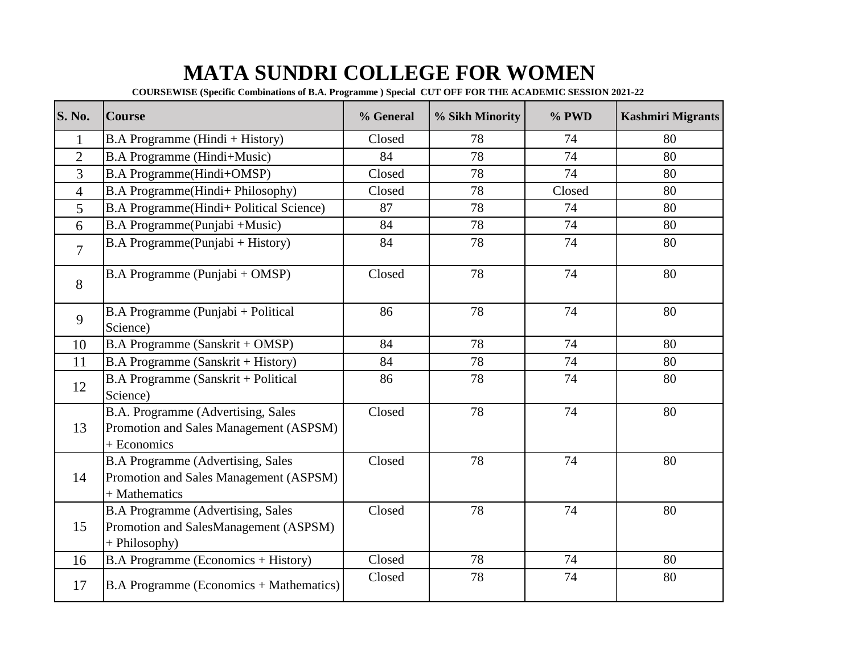## **MATA SUNDRI COLLEGE FOR WOMEN**

**COURSEWISE (Specific Combinations of B.A. Programme ) Special CUT OFF FOR THE ACADEMIC SESSION 2021-22** 

| <b>S. No.</b>  | <b>Course</b>                                                                                        | % General | % Sikh Minority | % PWD  | <b>Kashmiri Migrants</b> |
|----------------|------------------------------------------------------------------------------------------------------|-----------|-----------------|--------|--------------------------|
| $\mathbf{1}$   | B.A Programme (Hindi + History)                                                                      | Closed    | 78              | 74     | 80                       |
| $\overline{2}$ | <b>B.A Programme (Hindi+Music)</b>                                                                   | 84        | 78              | 74     | 80                       |
| 3              | <b>B.A Programme(Hindi+OMSP)</b>                                                                     | Closed    | 78              | 74     | 80                       |
| $\overline{4}$ | B.A Programme(Hindi+ Philosophy)                                                                     | Closed    | 78              | Closed | 80                       |
| 5              | B.A Programme(Hindi+ Political Science)                                                              | 87        | 78              | 74     | 80                       |
| 6              | B.A Programme(Punjabi +Music)                                                                        | 84        | 78              | 74     | 80                       |
| $\overline{7}$ | B.A Programme(Punjabi + History)                                                                     | 84        | 78              | 74     | 80                       |
| 8              | B.A Programme (Punjabi + OMSP)                                                                       | Closed    | 78              | 74     | 80                       |
| 9              | B.A Programme (Punjabi + Political<br>Science)                                                       | 86        | 78              | 74     | 80                       |
| 10             | B.A Programme (Sanskrit + OMSP)                                                                      | 84        | 78              | 74     | 80                       |
| 11             | B.A Programme (Sanskrit + History)                                                                   | 84        | 78              | 74     | 80                       |
| 12             | B.A Programme (Sanskrit + Political<br>Science)                                                      | 86        | 78              | 74     | 80                       |
| 13             | B.A. Programme (Advertising, Sales<br>Promotion and Sales Management (ASPSM)<br>+ Economics          | Closed    | 78              | 74     | 80                       |
| 14             | <b>B.A Programme (Advertising, Sales)</b><br>Promotion and Sales Management (ASPSM)<br>+ Mathematics | Closed    | 78              | 74     | 80                       |
| 15             | <b>B.A Programme (Advertising, Sales</b><br>Promotion and SalesManagement (ASPSM)<br>+ Philosophy)   | Closed    | 78              | 74     | 80                       |
| 16             | <b>B.A Programme (Economics + History)</b>                                                           | Closed    | 78              | 74     | 80                       |
| 17             | B.A Programme (Economics + Mathematics)                                                              | Closed    | 78              | 74     | 80                       |